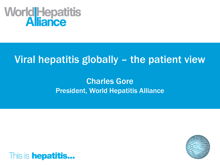# World Hepatitis

# Viral hepatitis globally – the patient view

#### Charles Gore President, World Hepatitis Alliance



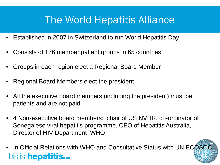# The World Hepatitis Alliance

- Established in 2007 in Switzerland to run World Hepatitis Day
- Consists of 176 member patient groups in 65 countries
- Groups in each region elect a Regional Board Member
- Regional Board Members elect the president
- All the executive board members (including the president) must be patients and are not paid
- 4 Non-executive board members: chair of US NVHR, co-ordinator of Senegalese viral hepatitis programme, CEO of Hepatitis Australia, Director of HIV Department WHO.
- In Official Relations with WHO and Consultative Status with UN ECOSOCThis is **hepatitis...**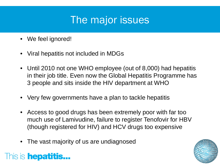# The major issues

- We feel ignored!
- Viral hepatitis not included in MDGs
- Until 2010 not one WHO employee (out of 8,000) had hepatitis in their job title. Even now the Global Hepatitis Programme has 3 people and sits inside the HIV department at WHO
- Very few governments have a plan to tackle hepatitis
- Access to good drugs has been extremely poor with far too much use of Lamivudine, failure to register Tenofovir for HBV (though registered for HIV) and HCV drugs too expensive
- The vast majority of us are undiagnosed

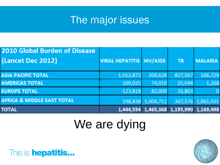# The major issues

| <b>2010 Global Burden of Disease</b><br>(Lancet Dec 2012) | <b>VIRAL HEPATITIS   HIV/AIDS</b> |                                         | <b>TB</b> | <b>MALARIA</b>    |
|-----------------------------------------------------------|-----------------------------------|-----------------------------------------|-----------|-------------------|
| <b>ASIA PACIFIC TOTAL</b>                                 | 1,012,873                         | 304,628                                 | 827,567   | 106,729           |
| <b>AMERICAS TOTAL</b>                                     | 109,025                           | 74,019                                  | 25,044    | 1,268             |
| <b>EUROPE TOTAL</b>                                       | 123,818                           | 82,009                                  | 35,803    | $\overline{0}$    |
| <b>AFRICA &amp; MIDDLE EAST TOTAL</b>                     |                                   | 198,838 1,004,712                       |           | 307,576 1,061,501 |
| <b>TOTAL</b>                                              |                                   | 1,444,554 1,465,368 1,195,990 1,169,498 |           |                   |

# We are dying



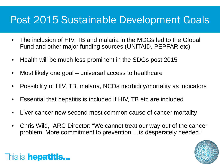## Post 2015 Sustainable Development Goals

- The inclusion of HIV, TB and malaria in the MDGs led to the Global Fund and other major funding sources (UNITAID, PEPFAR etc)
- Health will be much less prominent in the SDGs post 2015
- Most likely one goal universal access to healthcare
- Possibility of HIV, TB, malaria, NCDs morbidity/mortality as indicators
- Essential that hepatitis is included if HIV, TB etc are included
- Liver cancer now second most common cause of cancer mortality
- Chris Wild, IARC Director: "We cannot treat our way out of the cancer problem. More commitment to prevention …is desperately needed."

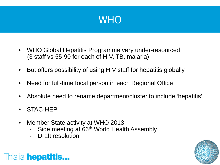

- WHO Global Hepatitis Programme very under-resourced (3 staff vs 55-90 for each of HIV, TB, malaria)
- But offers possibility of using HIV staff for hepatitis globally
- Need for full-time focal person in each Regional Office
- Absolute need to rename department/cluster to include 'hepatitis'
- STAC-HEP
- Member State activity at WHO 2013
	- Side meeting at 66<sup>th</sup> World Health Assembly
	- Draft resolution

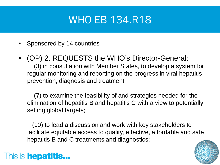# **WHO EB 134.R18**

- Sponsored by 14 countries
- (OP) 2. REQUESTS the WHO's Director-General: (3) in consultation with Member States, to develop a system for regular monitoring and reporting on the progress in viral hepatitis prevention, diagnosis and treatment;

 (7) to examine the feasibility of and strategies needed for the elimination of hepatitis B and hepatitis C with a view to potentially setting global targets;

 (10) to lead a discussion and work with key stakeholders to facilitate equitable access to quality, effective, affordable and safe hepatitis B and C treatments and diagnostics;

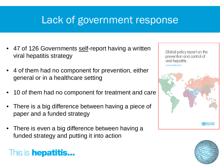# Lack of government response

- 47 of 126 Governments self-report having a written viral hepatitis strategy
- 4 of them had no component for prevention, either general or in a healthcare setting
- 10 of them had no component for treatment and care
- There is a big difference between having a piece of paper and a funded strategy
- There is even a big difference between having a funded strategy and putting it into action



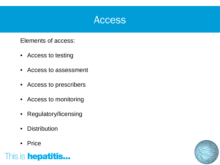

Elements of access:

- Access to testing
- Access to assessment
- Access to prescribers
- Access to monitoring
- Regulatory/licensing
- Distribution
- Price



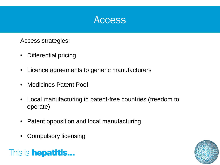

Access strategies:

- Differential pricing
- Licence agreements to generic manufacturers
- Medicines Patent Pool
- Local manufacturing in patent-free countries (freedom to operate)
- Patent opposition and local manufacturing
- Compulsory licensing